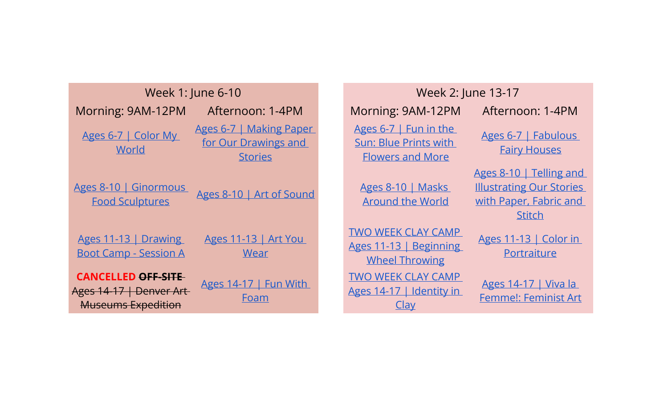| Week 1: June 6-10 |                                                                                   | Week 2: June 13-17                                                |                                                                              |                                                                                                       |
|-------------------|-----------------------------------------------------------------------------------|-------------------------------------------------------------------|------------------------------------------------------------------------------|-------------------------------------------------------------------------------------------------------|
|                   | Morning: 9AM-12PM                                                                 | Afternoon: 1-4PM                                                  | Morning: 9AM-12PM                                                            | Afternoon: 1-4PM                                                                                      |
|                   | Ages 6-7   Color My<br>World                                                      | Ages 6-7   Making Paper<br>for Our Drawings and<br><b>Stories</b> | Ages 6-7   Fun in the<br>Sun: Blue Prints with<br><b>Flowers and More</b>    | Ages 6-7   Fabulous<br><b>Fairy Houses</b>                                                            |
|                   | Ages 8-10   Ginormous<br><b>Food Sculptures</b>                                   | Ages 8-10   Art of Sound                                          | Ages 8-10   Masks<br><b>Around the World</b>                                 | Ages 8-10   Telling and<br><b>Illustrating Our Stories</b><br>with Paper, Fabric and<br><b>Stitch</b> |
|                   | Ages 11-13   Drawing<br><b>Boot Camp - Session A</b>                              | Ages 11-13   Art You<br>Wear                                      | <b>TWO WEEK CLAY CAMP</b><br>Ages 11-13   Beginning<br><b>Wheel Throwing</b> | Ages 11-13   Color in<br>Portraiture                                                                  |
|                   | <b>CANCELLED OFF-SITE</b><br>Ages 14-17   Denver Art<br><b>Museums Expedition</b> | Ages 14-17   Fun With<br>Foam                                     | <b>TWO WEEK CLAY CAMP</b><br>Ages 14-17   Identity in<br>Clay                | Ages 14-17   Viva la<br><b>Femme!: Feminist Art</b>                                                   |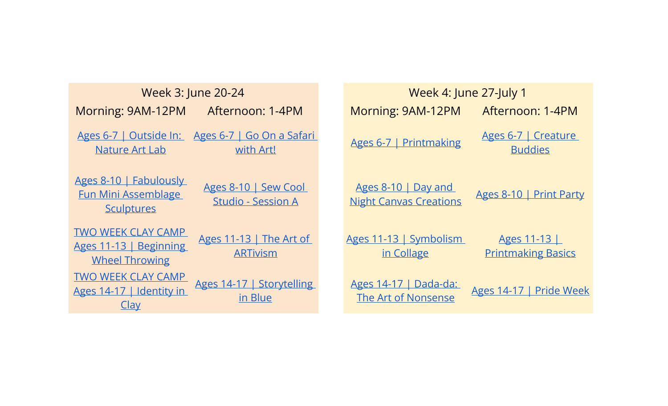| Week 3: June 20-24                                                                                                             |  | Week 4: June 27-July 1                               |                                         |
|--------------------------------------------------------------------------------------------------------------------------------|--|------------------------------------------------------|-----------------------------------------|
| Morning: 9AM-12PM<br>Afternoon: 1-4PM                                                                                          |  | Morning: 9AM-12PM                                    | Afternoon: 1-4PM                        |
| Ages 6-7   Outside In:<br>Ages 6-7   Go On a Safari<br><b>Nature Art Lab</b><br>with Art!                                      |  | Ages 6-7   Printmaking                               | Ages 6-7   Creature<br><b>Buddies</b>   |
| Ages 8-10   Fabulously<br>Ages 8-10   Sew Cool<br><b>Fun Mini Assemblage</b><br><b>Studio - Session A</b><br><b>Sculptures</b> |  | Ages 8-10   Day and<br><b>Night Canvas Creations</b> | Ages 8-10   Print Party                 |
| <b>TWO WEEK CLAY CAMP</b><br>Ages 11-13   The Art of<br>Ages 11-13   Beginning<br><b>ARTivism</b><br><b>Wheel Throwing</b>     |  | Ages 11-13   Symbolism<br>in Collage                 | Ages 11-13<br><b>Printmaking Basics</b> |
| <b>TWO WEEK CLAY CAMP</b><br>Ages 14-17   Storytelling<br>Ages 14-17   Identity in<br>in Blue<br>Clay                          |  | Ages 14-17   Dada-da:<br>The Art of Nonsense         | Ages 14-17   Pride Wee                  |

| Week 3: June 20-24                                                                            | Week 4: June 27-July 1                                                          |  |  |  |
|-----------------------------------------------------------------------------------------------|---------------------------------------------------------------------------------|--|--|--|
| Afternoon: 1-4PM<br><b>M-12PM</b>                                                             | Morning: 9AM-12PM<br>Afternoon: 1-4PM                                           |  |  |  |
| <u>itside In:</u><br>Ages 6-7   Go On a Safari<br>with Art!<br>t Lab                          | Ages 6-7   Creature<br>Ages 6-7   Printmaking<br><b>Buddies</b>                 |  |  |  |
| <b>bulously</b><br>Ages 8-10   Sew Cool<br>emblage<br><b>Studio - Session A</b><br><u>res</u> | Ages 8-10   Day and<br>Ages 8-10   Print Party<br><b>Night Canvas Creations</b> |  |  |  |
| <b>AY CAMP</b><br>Ages 11-13   The Art of<br>Beginning<br><b>ARTivism</b><br>owing            | Ages 11-13   Symbolism<br>Ages 11-13<br>in Collage<br><b>Printmaking Basics</b> |  |  |  |
| <b>AY CAMP</b><br>Ages 14-17   Storytelling<br>dentity in<br>in Blue                          | Ages 14-17   Dada-da:<br>Ages 14-17   Pride Week<br>The Art of Nonsense         |  |  |  |
|                                                                                               |                                                                                 |  |  |  |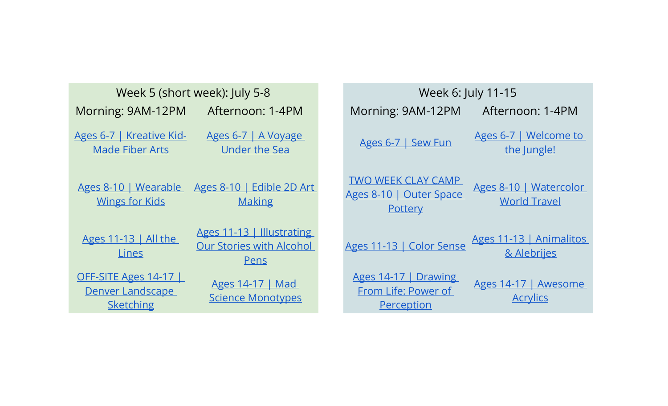| Week 5 (short week): July 5-8                                                                               |  | Week 6: July 11-15                                              |                                               |
|-------------------------------------------------------------------------------------------------------------|--|-----------------------------------------------------------------|-----------------------------------------------|
| Morning: 9AM-12PM<br>Afternoon: 1-4PM                                                                       |  | Morning: 9AM-12PM                                               | Afternoon: 1-4PM                              |
| Ages 6-7   Kreative Kid-<br>Ages 6-7   A Voyage<br><b>Under the Sea</b><br><b>Made Fiber Arts</b>           |  | Ages 6-7   Sew Fun                                              | Ages 6-7   Welcome to<br>the Jungle!          |
| Ages 8-10   Wearable<br>Ages 8-10   Edible 2D Art<br><b>Wings for Kids</b><br><b>Making</b>                 |  | <b>TWO WEEK CLAY CAMP</b><br>Ages 8-10   Outer Space<br>Pottery | Ages 8-10   Watercolor<br><b>World Travel</b> |
| Ages 11-13   Illustrating<br>Ages 11-13   All the<br><b>Our Stories with Alcohol</b><br>Lines<br>Pens       |  | Ages 11-13   Color Sense                                        | Ages 11-13   Animalitos<br>& Alebrijes        |
| OFF-SITE Ages 14-17<br>Ages 14-17   Mad<br>Denver Landscape<br><b>Science Monotypes</b><br><b>Sketching</b> |  | Ages 14-17   Drawing<br>From Life: Power of<br>Perception       | Ages 14-17   Awesome<br><b>Acrylics</b>       |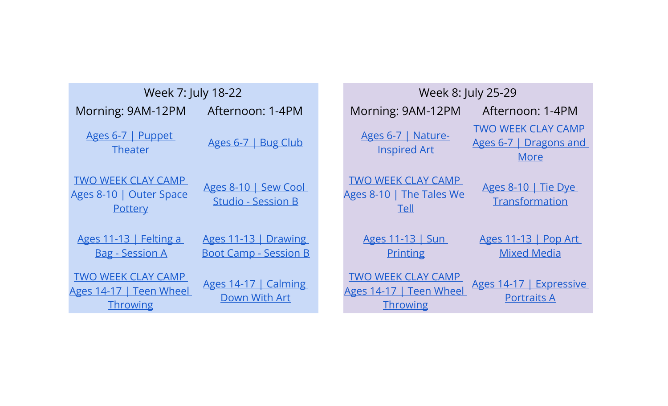| Week 7: July 18-22 |                                                                         | Week 8: July 25-29                                   |                                                                         |                                                             |
|--------------------|-------------------------------------------------------------------------|------------------------------------------------------|-------------------------------------------------------------------------|-------------------------------------------------------------|
|                    | Morning: 9AM-12PM                                                       | Afternoon: 1-4PM                                     | Morning: 9AM-12PM                                                       | Afternoon: 1-4PM                                            |
|                    | Ages 6-7   Puppet<br><b>Theater</b>                                     | Ages 6-7   Bug Club                                  | Ages 6-7   Nature-<br><b>Inspired Art</b>                               | <b>TWO WEEK CLAY CAMP</b><br>Ages 6-7   Dragons and<br>More |
|                    | <b>TWO WEEK CLAY CAMP</b><br>Ages 8-10   Outer Space<br>Pottery         | Ages 8-10   Sew Cool<br><b>Studio - Session B</b>    | <b>TWO WEEK CLAY CAMP</b><br>Ages 8-10   The Tales We<br><b>Tell</b>    | Ages 8-10   Tie Dye<br>Transformation                       |
|                    | Ages 11-13   Felting a<br><b>Bag - Session A</b>                        | Ages 11-13   Drawing<br><b>Boot Camp - Session B</b> | Ages 11-13   Sun<br><b>Printing</b>                                     | Ages 11-13   Pop Art<br><b>Mixed Media</b>                  |
|                    | <b>TWO WEEK CLAY CAMP</b><br>Ages 14-17   Teen Wheel<br><b>Throwing</b> | Ages 14-17   Calming<br>Down With Art                | <b>TWO WEEK CLAY CAMP</b><br>Ages 14-17   Teen Wheel<br><b>Throwing</b> | Ages 14-17   Expressive<br><b>Portraits A</b>               |